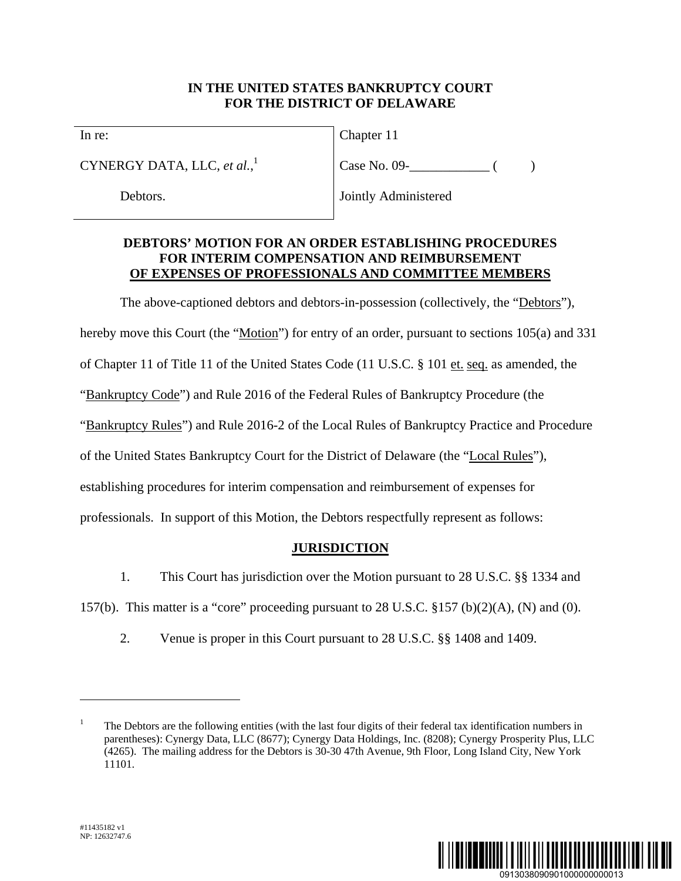## **IN THE UNITED STATES BANKRUPTCY COURT FOR THE DISTRICT OF DELAWARE**

In re:

CYNERGY DATA, LLC, *et al.*, 1

Debtors.

Chapter 11

Case No. 09- ( )

Jointly Administered

# **DEBTORS' MOTION FOR AN ORDER ESTABLISHING PROCEDURES FOR INTERIM COMPENSATION AND REIMBURSEMENT OF EXPENSES OF PROFESSIONALS AND COMMITTEE MEMBERS**

The above-captioned debtors and debtors-in-possession (collectively, the "Debtors"),

hereby move this Court (the "Motion") for entry of an order, pursuant to sections 105(a) and 331

of Chapter 11 of Title 11 of the United States Code (11 U.S.C. § 101 et. seq. as amended, the

"Bankruptcy Code") and Rule 2016 of the Federal Rules of Bankruptcy Procedure (the

"Bankruptcy Rules") and Rule 2016-2 of the Local Rules of Bankruptcy Practice and Procedure

of the United States Bankruptcy Court for the District of Delaware (the "Local Rules"),

establishing procedures for interim compensation and reimbursement of expenses for

professionals. In support of this Motion, the Debtors respectfully represent as follows:

# **JURISDICTION**

1. This Court has jurisdiction over the Motion pursuant to 28 U.S.C. §§ 1334 and

157(b). This matter is a "core" proceeding pursuant to 28 U.S.C.  $\S 157$  (b)(2)(A), (N) and (0).

2. Venue is proper in this Court pursuant to 28 U.S.C. §§ 1408 and 1409.



1

<sup>1</sup> The Debtors are the following entities (with the last four digits of their federal tax identification numbers in parentheses): Cynergy Data, LLC (8677); Cynergy Data Holdings, Inc. (8208); Cynergy Prosperity Plus, LLC (4265). The mailing address for the Debtors is 30-30 47th Avenue, 9th Floor, Long Island City, New York 11101.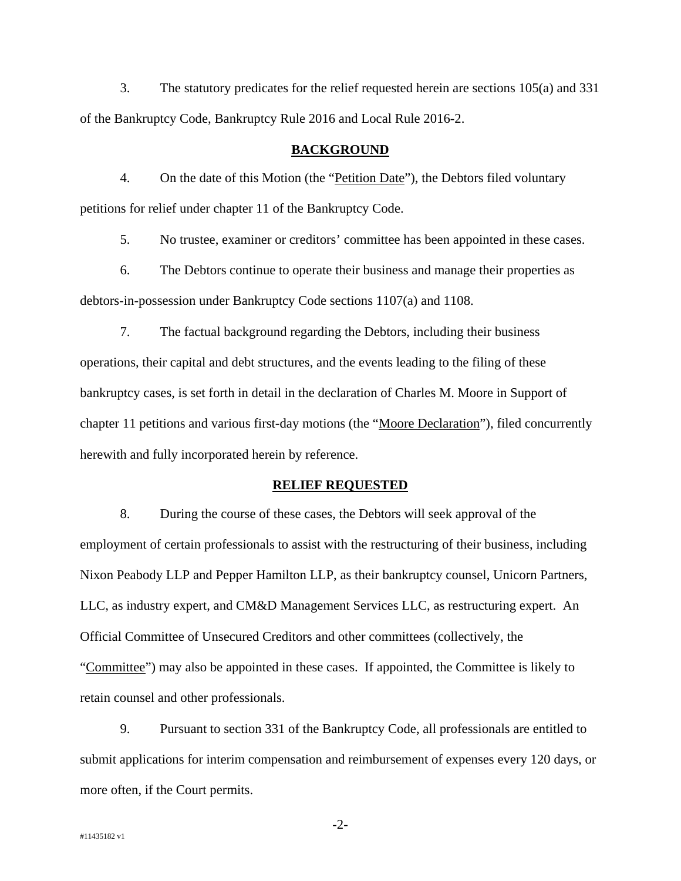3. The statutory predicates for the relief requested herein are sections 105(a) and 331 of the Bankruptcy Code, Bankruptcy Rule 2016 and Local Rule 2016-2.

#### **BACKGROUND**

4. On the date of this Motion (the "Petition Date"), the Debtors filed voluntary petitions for relief under chapter 11 of the Bankruptcy Code.

5. No trustee, examiner or creditors' committee has been appointed in these cases.

6. The Debtors continue to operate their business and manage their properties as debtors-in-possession under Bankruptcy Code sections 1107(a) and 1108.

7. The factual background regarding the Debtors, including their business operations, their capital and debt structures, and the events leading to the filing of these bankruptcy cases, is set forth in detail in the declaration of Charles M. Moore in Support of chapter 11 petitions and various first-day motions (the "Moore Declaration"), filed concurrently herewith and fully incorporated herein by reference.

#### **RELIEF REQUESTED**

8. During the course of these cases, the Debtors will seek approval of the employment of certain professionals to assist with the restructuring of their business, including Nixon Peabody LLP and Pepper Hamilton LLP, as their bankruptcy counsel, Unicorn Partners, LLC, as industry expert, and CM&D Management Services LLC, as restructuring expert. An Official Committee of Unsecured Creditors and other committees (collectively, the "Committee") may also be appointed in these cases. If appointed, the Committee is likely to retain counsel and other professionals.

9. Pursuant to section 331 of the Bankruptcy Code, all professionals are entitled to submit applications for interim compensation and reimbursement of expenses every 120 days, or more often, if the Court permits.

-2-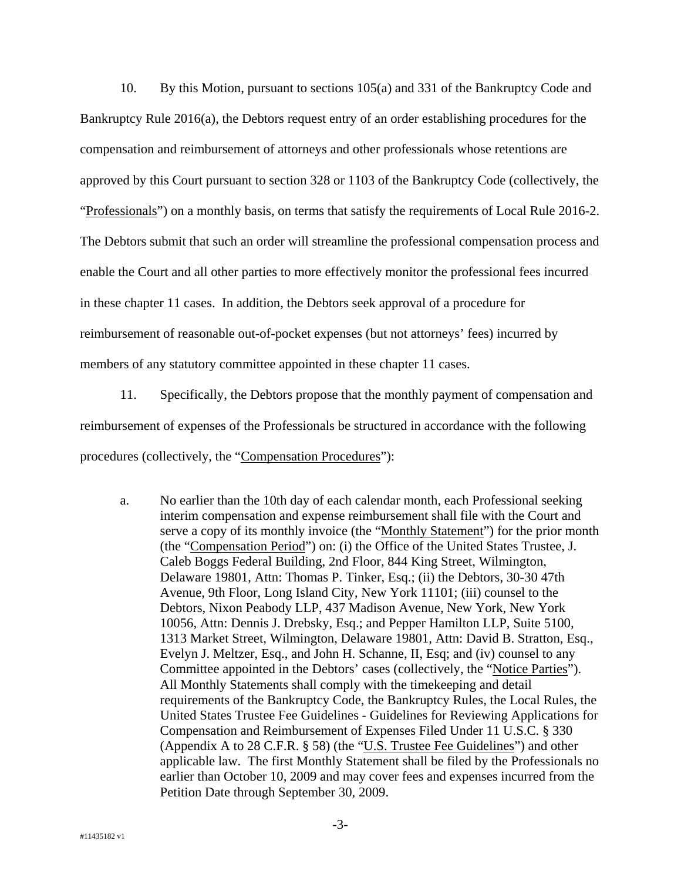10. By this Motion, pursuant to sections 105(a) and 331 of the Bankruptcy Code and Bankruptcy Rule 2016(a), the Debtors request entry of an order establishing procedures for the compensation and reimbursement of attorneys and other professionals whose retentions are approved by this Court pursuant to section 328 or 1103 of the Bankruptcy Code (collectively, the "Professionals") on a monthly basis, on terms that satisfy the requirements of Local Rule 2016-2. The Debtors submit that such an order will streamline the professional compensation process and enable the Court and all other parties to more effectively monitor the professional fees incurred in these chapter 11 cases. In addition, the Debtors seek approval of a procedure for reimbursement of reasonable out-of-pocket expenses (but not attorneys' fees) incurred by members of any statutory committee appointed in these chapter 11 cases.

11. Specifically, the Debtors propose that the monthly payment of compensation and reimbursement of expenses of the Professionals be structured in accordance with the following procedures (collectively, the "Compensation Procedures"):

a. No earlier than the 10th day of each calendar month, each Professional seeking interim compensation and expense reimbursement shall file with the Court and serve a copy of its monthly invoice (the "Monthly Statement") for the prior month (the "Compensation Period") on: (i) the Office of the United States Trustee, J. Caleb Boggs Federal Building, 2nd Floor, 844 King Street, Wilmington, Delaware 19801, Attn: Thomas P. Tinker, Esq.; (ii) the Debtors, 30-30 47th Avenue, 9th Floor, Long Island City, New York 11101; (iii) counsel to the Debtors, Nixon Peabody LLP, 437 Madison Avenue, New York, New York 10056, Attn: Dennis J. Drebsky, Esq.; and Pepper Hamilton LLP, Suite 5100, 1313 Market Street, Wilmington, Delaware 19801, Attn: David B. Stratton, Esq., Evelyn J. Meltzer, Esq., and John H. Schanne, II, Esq; and (iv) counsel to any Committee appointed in the Debtors' cases (collectively, the "Notice Parties"). All Monthly Statements shall comply with the timekeeping and detail requirements of the Bankruptcy Code, the Bankruptcy Rules, the Local Rules, the United States Trustee Fee Guidelines - Guidelines for Reviewing Applications for Compensation and Reimbursement of Expenses Filed Under 11 U.S.C. § 330 (Appendix A to 28 C.F.R. § 58) (the "U.S. Trustee Fee Guidelines") and other applicable law. The first Monthly Statement shall be filed by the Professionals no earlier than October 10, 2009 and may cover fees and expenses incurred from the Petition Date through September 30, 2009.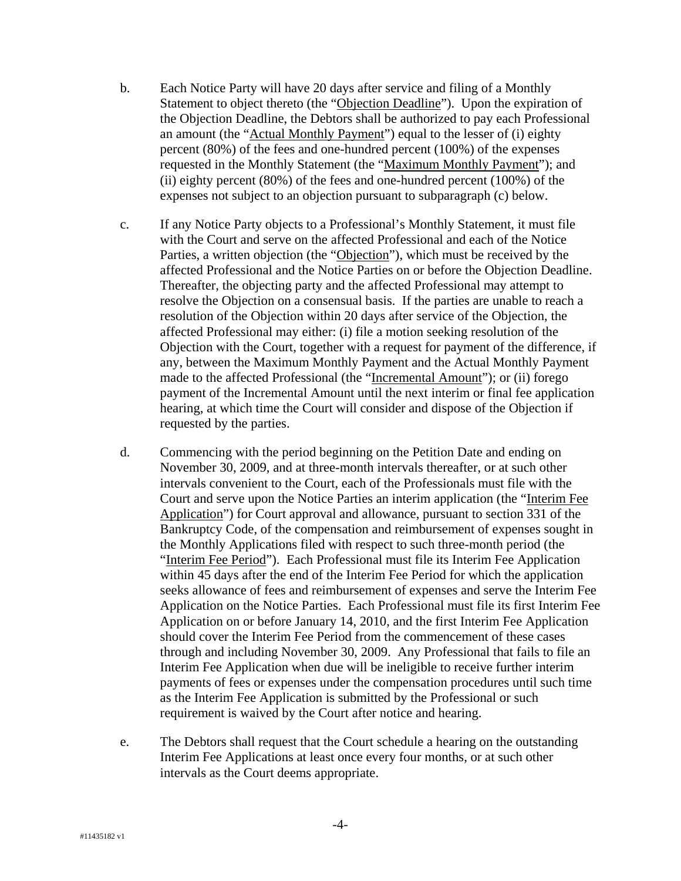- b. Each Notice Party will have 20 days after service and filing of a Monthly Statement to object thereto (the "Objection Deadline"). Upon the expiration of the Objection Deadline, the Debtors shall be authorized to pay each Professional an amount (the "Actual Monthly Payment") equal to the lesser of (i) eighty percent (80%) of the fees and one-hundred percent (100%) of the expenses requested in the Monthly Statement (the "Maximum Monthly Payment"); and (ii) eighty percent (80%) of the fees and one-hundred percent (100%) of the expenses not subject to an objection pursuant to subparagraph (c) below.
- c. If any Notice Party objects to a Professional's Monthly Statement, it must file with the Court and serve on the affected Professional and each of the Notice Parties, a written objection (the "Objection"), which must be received by the affected Professional and the Notice Parties on or before the Objection Deadline. Thereafter, the objecting party and the affected Professional may attempt to resolve the Objection on a consensual basis. If the parties are unable to reach a resolution of the Objection within 20 days after service of the Objection, the affected Professional may either: (i) file a motion seeking resolution of the Objection with the Court, together with a request for payment of the difference, if any, between the Maximum Monthly Payment and the Actual Monthly Payment made to the affected Professional (the "Incremental Amount"); or (ii) forego payment of the Incremental Amount until the next interim or final fee application hearing, at which time the Court will consider and dispose of the Objection if requested by the parties.
- d. Commencing with the period beginning on the Petition Date and ending on November 30, 2009, and at three-month intervals thereafter, or at such other intervals convenient to the Court, each of the Professionals must file with the Court and serve upon the Notice Parties an interim application (the "Interim Fee Application") for Court approval and allowance, pursuant to section 331 of the Bankruptcy Code, of the compensation and reimbursement of expenses sought in the Monthly Applications filed with respect to such three-month period (the "Interim Fee Period"). Each Professional must file its Interim Fee Application within 45 days after the end of the Interim Fee Period for which the application seeks allowance of fees and reimbursement of expenses and serve the Interim Fee Application on the Notice Parties. Each Professional must file its first Interim Fee Application on or before January 14, 2010, and the first Interim Fee Application should cover the Interim Fee Period from the commencement of these cases through and including November 30, 2009. Any Professional that fails to file an Interim Fee Application when due will be ineligible to receive further interim payments of fees or expenses under the compensation procedures until such time as the Interim Fee Application is submitted by the Professional or such requirement is waived by the Court after notice and hearing.
- e. The Debtors shall request that the Court schedule a hearing on the outstanding Interim Fee Applications at least once every four months, or at such other intervals as the Court deems appropriate.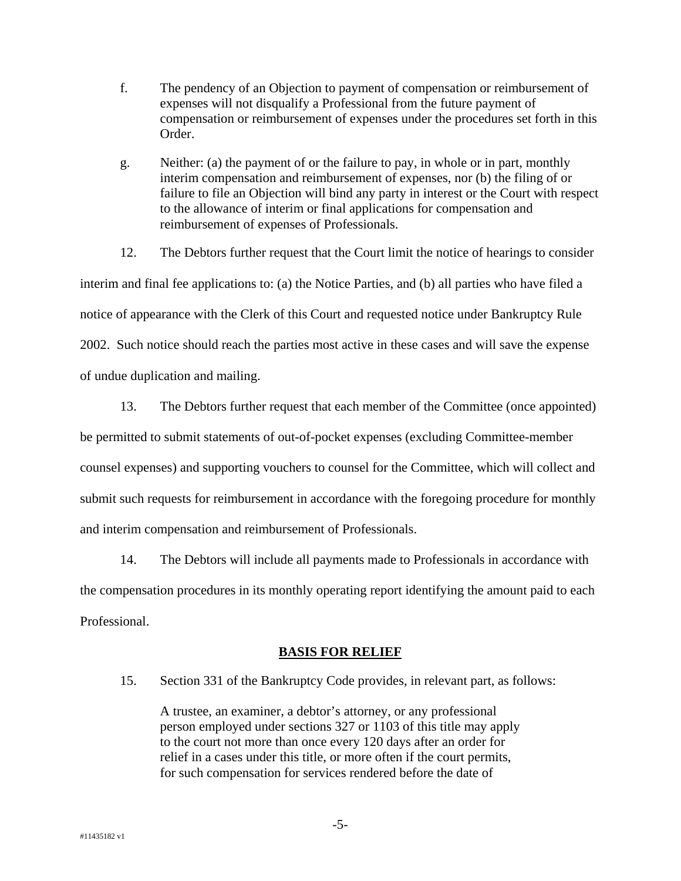- f. The pendency of an Objection to payment of compensation or reimbursement of expenses will not disqualify a Professional from the future payment of compensation or reimbursement of expenses under the procedures set forth in this Order.
- g. Neither: (a) the payment of or the failure to pay, in whole or in part, monthly interim compensation and reimbursement of expenses, nor (b) the filing of or failure to file an Objection will bind any party in interest or the Court with respect to the allowance of interim or final applications for compensation and reimbursement of expenses of Professionals.

12. The Debtors further request that the Court limit the notice of hearings to consider interim and final fee applications to: (a) the Notice Parties, and (b) all parties who have filed a notice of appearance with the Clerk of this Court and requested notice under Bankruptcy Rule 2002. Such notice should reach the parties most active in these cases and will save the expense of undue duplication and mailing.

13. The Debtors further request that each member of the Committee (once appointed) be permitted to submit statements of out-of-pocket expenses (excluding Committee-member counsel expenses) and supporting vouchers to counsel for the Committee, which will collect and submit such requests for reimbursement in accordance with the foregoing procedure for monthly and interim compensation and reimbursement of Professionals.

14. The Debtors will include all payments made to Professionals in accordance with the compensation procedures in its monthly operating report identifying the amount paid to each Professional.

### **BASIS FOR RELIEF**

15. Section 331 of the Bankruptcy Code provides, in relevant part, as follows:

A trustee, an examiner, a debtor's attorney, or any professional person employed under sections 327 or 1103 of this title may apply to the court not more than once every 120 days after an order for relief in a cases under this title, or more often if the court permits, for such compensation for services rendered before the date of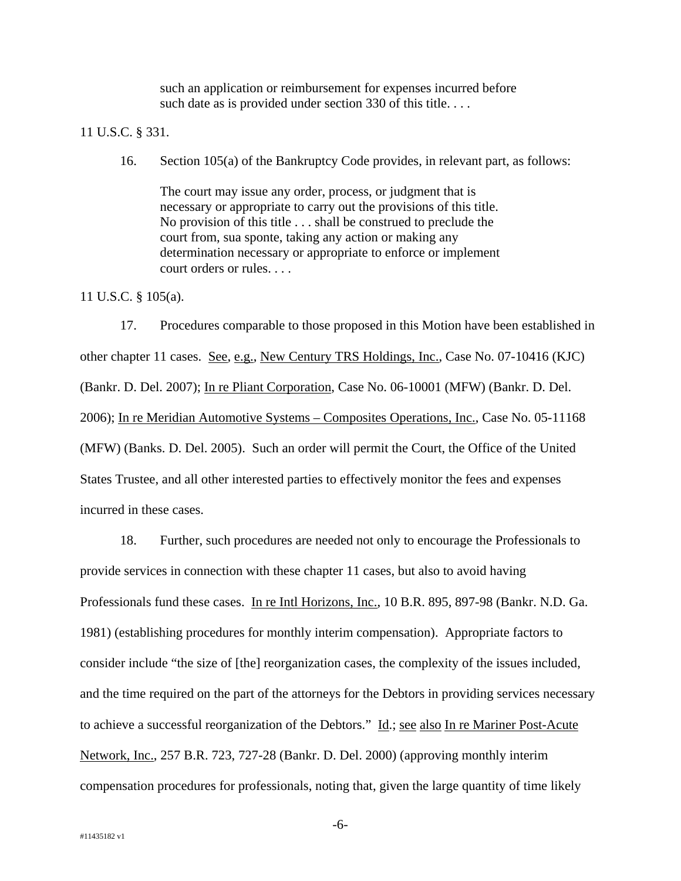such an application or reimbursement for expenses incurred before such date as is provided under section 330 of this title....

11 U.S.C. § 331.

16. Section 105(a) of the Bankruptcy Code provides, in relevant part, as follows:

The court may issue any order, process, or judgment that is necessary or appropriate to carry out the provisions of this title. No provision of this title . . . shall be construed to preclude the court from, sua sponte, taking any action or making any determination necessary or appropriate to enforce or implement court orders or rules. . . .

11 U.S.C. § 105(a).

17. Procedures comparable to those proposed in this Motion have been established in other chapter 11 cases. See, e.g., New Century TRS Holdings, Inc., Case No. 07-10416 (KJC) (Bankr. D. Del. 2007); In re Pliant Corporation, Case No. 06-10001 (MFW) (Bankr. D. Del. 2006); In re Meridian Automotive Systems – Composites Operations, Inc., Case No. 05-11168 (MFW) (Banks. D. Del. 2005). Such an order will permit the Court, the Office of the United States Trustee, and all other interested parties to effectively monitor the fees and expenses incurred in these cases.

18. Further, such procedures are needed not only to encourage the Professionals to provide services in connection with these chapter 11 cases, but also to avoid having Professionals fund these cases. In re Intl Horizons, Inc., 10 B.R. 895, 897-98 (Bankr. N.D. Ga. 1981) (establishing procedures for monthly interim compensation). Appropriate factors to consider include "the size of [the] reorganization cases, the complexity of the issues included, and the time required on the part of the attorneys for the Debtors in providing services necessary to achieve a successful reorganization of the Debtors." Id.; see also In re Mariner Post-Acute Network, Inc., 257 B.R. 723, 727-28 (Bankr. D. Del. 2000) (approving monthly interim compensation procedures for professionals, noting that, given the large quantity of time likely

-6-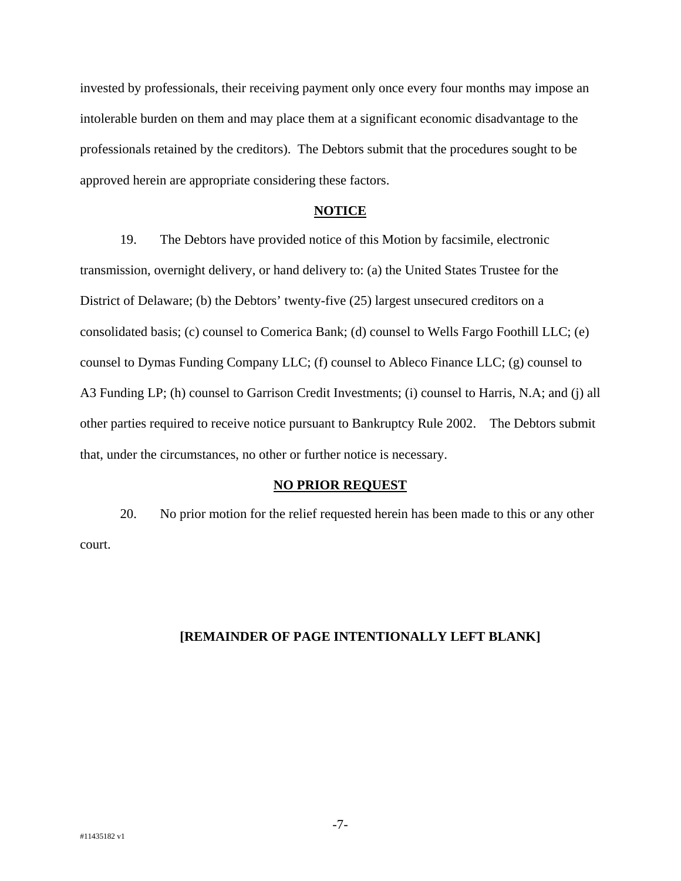invested by professionals, their receiving payment only once every four months may impose an intolerable burden on them and may place them at a significant economic disadvantage to the professionals retained by the creditors). The Debtors submit that the procedures sought to be approved herein are appropriate considering these factors.

#### **NOTICE**

19. The Debtors have provided notice of this Motion by facsimile, electronic transmission, overnight delivery, or hand delivery to: (a) the United States Trustee for the District of Delaware; (b) the Debtors' twenty-five (25) largest unsecured creditors on a consolidated basis; (c) counsel to Comerica Bank; (d) counsel to Wells Fargo Foothill LLC; (e) counsel to Dymas Funding Company LLC; (f) counsel to Ableco Finance LLC; (g) counsel to A3 Funding LP; (h) counsel to Garrison Credit Investments; (i) counsel to Harris, N.A; and (j) all other parties required to receive notice pursuant to Bankruptcy Rule 2002. The Debtors submit that, under the circumstances, no other or further notice is necessary.

#### **NO PRIOR REQUEST**

20. No prior motion for the relief requested herein has been made to this or any other court.

#### **[REMAINDER OF PAGE INTENTIONALLY LEFT BLANK]**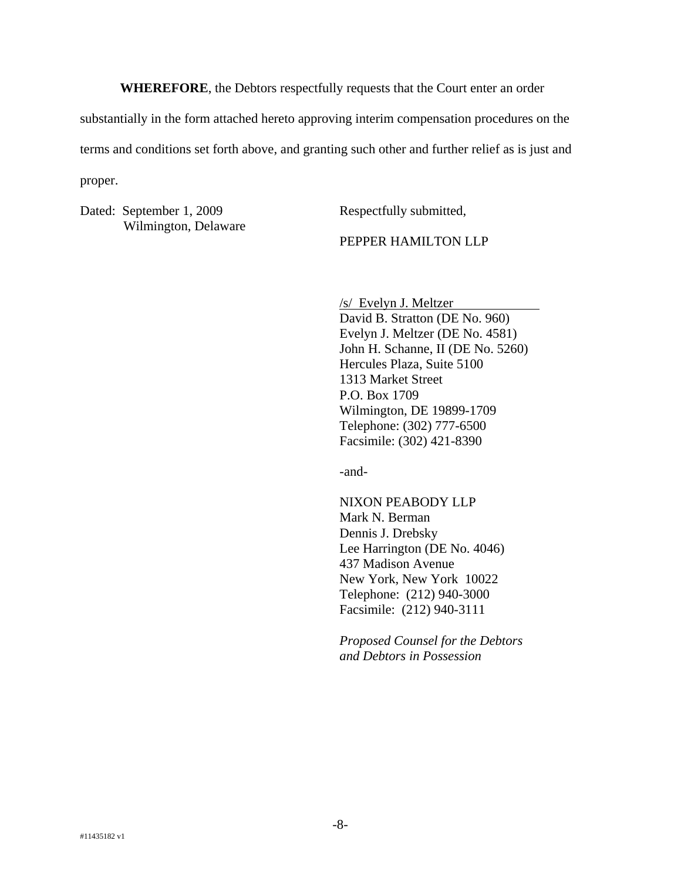**WHEREFORE**, the Debtors respectfully requests that the Court enter an order

substantially in the form attached hereto approving interim compensation procedures on the

terms and conditions set forth above, and granting such other and further relief as is just and

proper.

Dated: September 1, 2009 Wilmington, Delaware Respectfully submitted,

PEPPER HAMILTON LLP

/s/ Evelyn J. Meltzer

David B. Stratton (DE No. 960) Evelyn J. Meltzer (DE No. 4581) John H. Schanne, II (DE No. 5260) Hercules Plaza, Suite 5100 1313 Market Street P.O. Box 1709 Wilmington, DE 19899-1709 Telephone: (302) 777-6500 Facsimile: (302) 421-8390

-and-

NIXON PEABODY LLP Mark N. Berman Dennis J. Drebsky Lee Harrington (DE No. 4046) 437 Madison Avenue New York, New York 10022 Telephone: (212) 940-3000 Facsimile: (212) 940-3111

*Proposed Counsel for the Debtors and Debtors in Possession*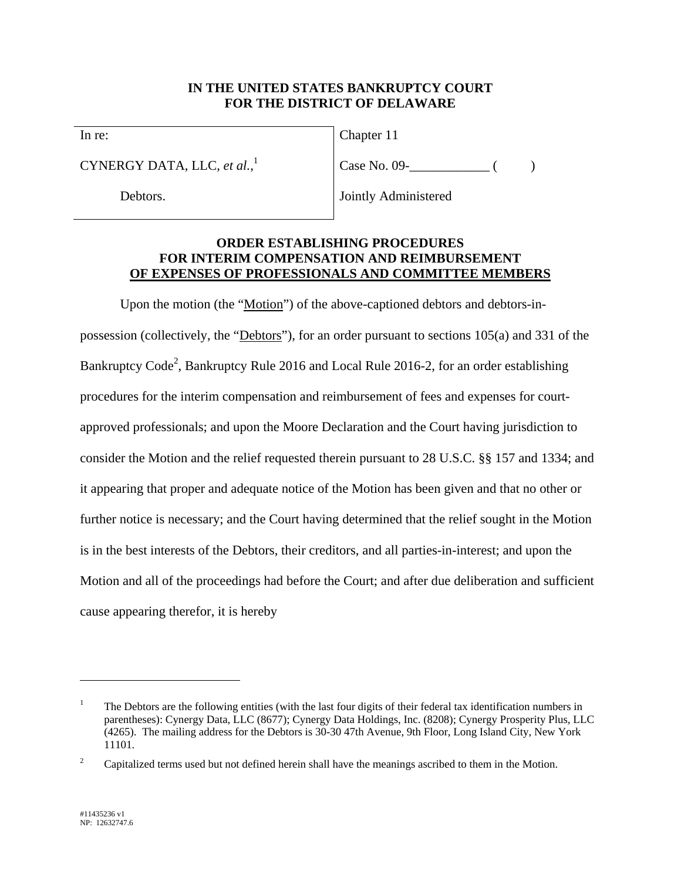### **IN THE UNITED STATES BANKRUPTCY COURT FOR THE DISTRICT OF DELAWARE**

In re:

CYNERGY DATA, LLC, *et al.*, 1

Debtors.

Chapter 11

Case No. 09- ( )

Jointly Administered

### **ORDER ESTABLISHING PROCEDURES FOR INTERIM COMPENSATION AND REIMBURSEMENT OF EXPENSES OF PROFESSIONALS AND COMMITTEE MEMBERS**

Upon the motion (the "Motion") of the above-captioned debtors and debtors-inpossession (collectively, the "Debtors"), for an order pursuant to sections 105(a) and 331 of the Bankruptcy Code<sup>2</sup>, Bankruptcy Rule 2016 and Local Rule 2016-2, for an order establishing procedures for the interim compensation and reimbursement of fees and expenses for courtapproved professionals; and upon the Moore Declaration and the Court having jurisdiction to consider the Motion and the relief requested therein pursuant to 28 U.S.C. §§ 157 and 1334; and it appearing that proper and adequate notice of the Motion has been given and that no other or further notice is necessary; and the Court having determined that the relief sought in the Motion is in the best interests of the Debtors, their creditors, and all parties-in-interest; and upon the Motion and all of the proceedings had before the Court; and after due deliberation and sufficient cause appearing therefor, it is hereby

 $\overline{a}$ 

<sup>1</sup> The Debtors are the following entities (with the last four digits of their federal tax identification numbers in parentheses): Cynergy Data, LLC (8677); Cynergy Data Holdings, Inc. (8208); Cynergy Prosperity Plus, LLC (4265). The mailing address for the Debtors is 30-30 47th Avenue, 9th Floor, Long Island City, New York 11101.

<sup>2</sup> Capitalized terms used but not defined herein shall have the meanings ascribed to them in the Motion.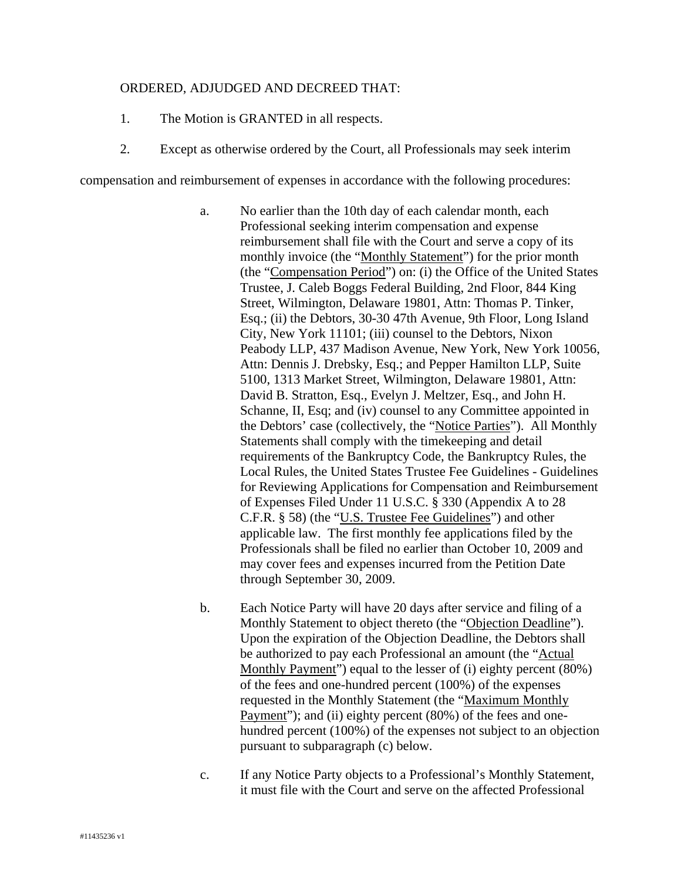### ORDERED, ADJUDGED AND DECREED THAT:

- 1. The Motion is GRANTED in all respects.
- 2. Except as otherwise ordered by the Court, all Professionals may seek interim

compensation and reimbursement of expenses in accordance with the following procedures:

- a. No earlier than the 10th day of each calendar month, each Professional seeking interim compensation and expense reimbursement shall file with the Court and serve a copy of its monthly invoice (the "Monthly Statement") for the prior month (the "Compensation Period") on: (i) the Office of the United States Trustee, J. Caleb Boggs Federal Building, 2nd Floor, 844 King Street, Wilmington, Delaware 19801, Attn: Thomas P. Tinker, Esq.; (ii) the Debtors, 30-30 47th Avenue, 9th Floor, Long Island City, New York 11101; (iii) counsel to the Debtors, Nixon Peabody LLP, 437 Madison Avenue, New York, New York 10056, Attn: Dennis J. Drebsky, Esq.; and Pepper Hamilton LLP, Suite 5100, 1313 Market Street, Wilmington, Delaware 19801, Attn: David B. Stratton, Esq., Evelyn J. Meltzer, Esq., and John H. Schanne, II, Esq; and (iv) counsel to any Committee appointed in the Debtors' case (collectively, the "Notice Parties"). All Monthly Statements shall comply with the timekeeping and detail requirements of the Bankruptcy Code, the Bankruptcy Rules, the Local Rules, the United States Trustee Fee Guidelines - Guidelines for Reviewing Applications for Compensation and Reimbursement of Expenses Filed Under 11 U.S.C. § 330 (Appendix A to 28 C.F.R. § 58) (the "U.S. Trustee Fee Guidelines") and other applicable law. The first monthly fee applications filed by the Professionals shall be filed no earlier than October 10, 2009 and may cover fees and expenses incurred from the Petition Date through September 30, 2009.
- b. Each Notice Party will have 20 days after service and filing of a Monthly Statement to object thereto (the "Objection Deadline"). Upon the expiration of the Objection Deadline, the Debtors shall be authorized to pay each Professional an amount (the "Actual Monthly Payment") equal to the lesser of (i) eighty percent (80%) of the fees and one-hundred percent (100%) of the expenses requested in the Monthly Statement (the "Maximum Monthly Payment"); and (ii) eighty percent (80%) of the fees and onehundred percent (100%) of the expenses not subject to an objection pursuant to subparagraph (c) below.
- c. If any Notice Party objects to a Professional's Monthly Statement, it must file with the Court and serve on the affected Professional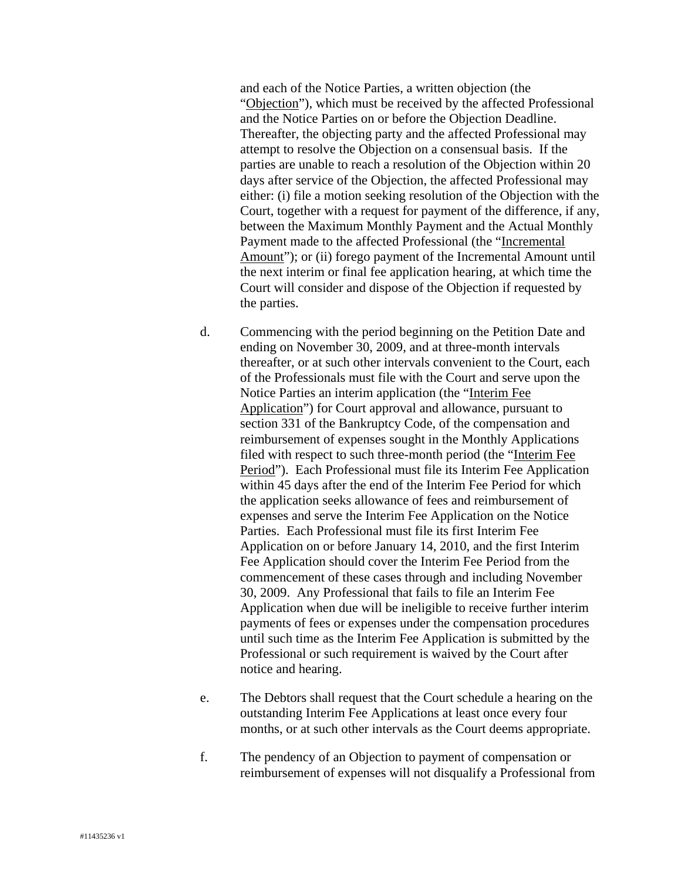and each of the Notice Parties, a written objection (the "Objection"), which must be received by the affected Professional and the Notice Parties on or before the Objection Deadline. Thereafter, the objecting party and the affected Professional may attempt to resolve the Objection on a consensual basis. If the parties are unable to reach a resolution of the Objection within 20 days after service of the Objection, the affected Professional may either: (i) file a motion seeking resolution of the Objection with the Court, together with a request for payment of the difference, if any, between the Maximum Monthly Payment and the Actual Monthly Payment made to the affected Professional (the "Incremental Amount"); or (ii) forego payment of the Incremental Amount until the next interim or final fee application hearing, at which time the Court will consider and dispose of the Objection if requested by the parties.

- d. Commencing with the period beginning on the Petition Date and ending on November 30, 2009, and at three-month intervals thereafter, or at such other intervals convenient to the Court, each of the Professionals must file with the Court and serve upon the Notice Parties an interim application (the "Interim Fee Application") for Court approval and allowance, pursuant to section 331 of the Bankruptcy Code, of the compensation and reimbursement of expenses sought in the Monthly Applications filed with respect to such three-month period (the "Interim Fee Period"). Each Professional must file its Interim Fee Application within 45 days after the end of the Interim Fee Period for which the application seeks allowance of fees and reimbursement of expenses and serve the Interim Fee Application on the Notice Parties. Each Professional must file its first Interim Fee Application on or before January 14, 2010, and the first Interim Fee Application should cover the Interim Fee Period from the commencement of these cases through and including November 30, 2009. Any Professional that fails to file an Interim Fee Application when due will be ineligible to receive further interim payments of fees or expenses under the compensation procedures until such time as the Interim Fee Application is submitted by the Professional or such requirement is waived by the Court after notice and hearing.
- e. The Debtors shall request that the Court schedule a hearing on the outstanding Interim Fee Applications at least once every four months, or at such other intervals as the Court deems appropriate.
- f. The pendency of an Objection to payment of compensation or reimbursement of expenses will not disqualify a Professional from